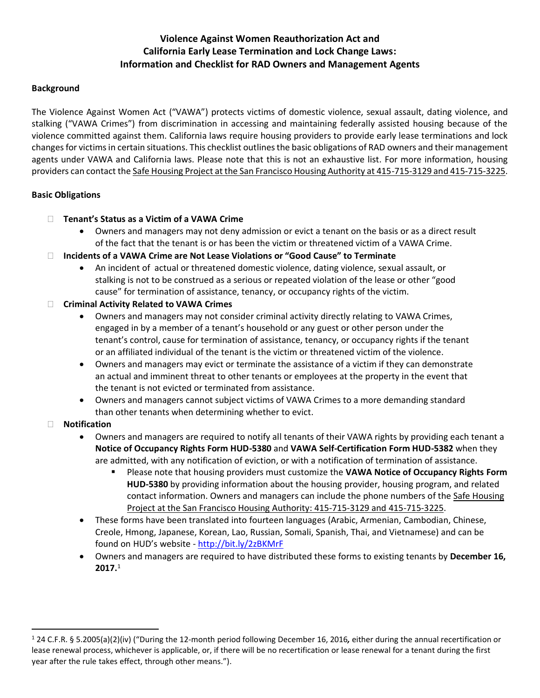# **Violence Against Women Reauthorization Act and California Early Lease Termination and Lock Change Laws: Information and Checklist for RAD Owners and Management Agents**

## **Background**

The Violence Against Women Act ("VAWA") protects victims of domestic violence, sexual assault, dating violence, and stalking ("VAWA Crimes") from discrimination in accessing and maintaining federally assisted housing because of the violence committed against them. California laws require housing providers to provide early lease terminations and lock changes for victims in certain situations. This checklist outlines the basic obligations of RAD owners and their management agents under VAWA and California laws. Please note that this is not an exhaustive list. For more information, housing providers can contact the Safe Housing Project at the San Francisco Housing Authority at 415-715-3129 and 415-715-3225.

### **Basic Obligations**

- **Tenant's Status as a Victim of a VAWA Crime**
	- Owners and managers may not deny admission or evict a tenant on the basis or as a direct result of the fact that the tenant is or has been the victim or threatened victim of a VAWA Crime.
- **Incidents of a VAWA Crime are Not Lease Violations or "Good Cause" to Terminate**
	- An incident of actual or threatened domestic violence, dating violence, sexual assault, or stalking is not to be construed as a serious or repeated violation of the lease or other "good cause" for termination of assistance, tenancy, or occupancy rights of the victim.
- **Criminal Activity Related to VAWA Crimes**
	- Owners and managers may not consider criminal activity directly relating to VAWA Crimes, engaged in by a member of a tenant's household or any guest or other person under the tenant's control, cause for termination of assistance, tenancy, or occupancy rights if the tenant or an affiliated individual of the tenant is the victim or threatened victim of the violence.
	- Owners and managers may evict or terminate the assistance of a victim if they can demonstrate an actual and imminent threat to other tenants or employees at the property in the event that the tenant is not evicted or terminated from assistance.
	- Owners and managers cannot subject victims of VAWA Crimes to a more demanding standard than other tenants when determining whether to evict.

## **Notification**

 $\overline{a}$ 

- Owners and managers are required to notify all tenants of their VAWA rights by providing each tenant a **Notice of Occupancy Rights Form HUD-5380** and **VAWA Self-Certification Form HUD-5382** when they are admitted, with any notification of eviction, or with a notification of termination of assistance.
	- Please note that housing providers must customize the **VAWA Notice of Occupancy Rights Form HUD-5380** by providing information about the housing provider, housing program, and related contact information. Owners and managers can include the phone numbers of the Safe Housing Project at the San Francisco Housing Authority: 415-715-3129 and 415-715-3225.
- These forms have been translated into fourteen languages (Arabic, Armenian, Cambodian, Chinese, Creole, Hmong, Japanese, Korean, Lao, Russian, Somali, Spanish, Thai, and Vietnamese) and can be found on HUD's website - <http://bit.ly/2zBKMrF>
- Owners and managers are required to have distributed these forms to existing tenants by **December 16, 2017.**<sup>1</sup>

<sup>1</sup> 24 C.F.R. § 5.2005(a)(2)(iv) ("During the 12-month period following December 16, 2016*,* either during the annual recertification or lease renewal process, whichever is applicable, or, if there will be no recertification or lease renewal for a tenant during the first year after the rule takes effect, through other means.").